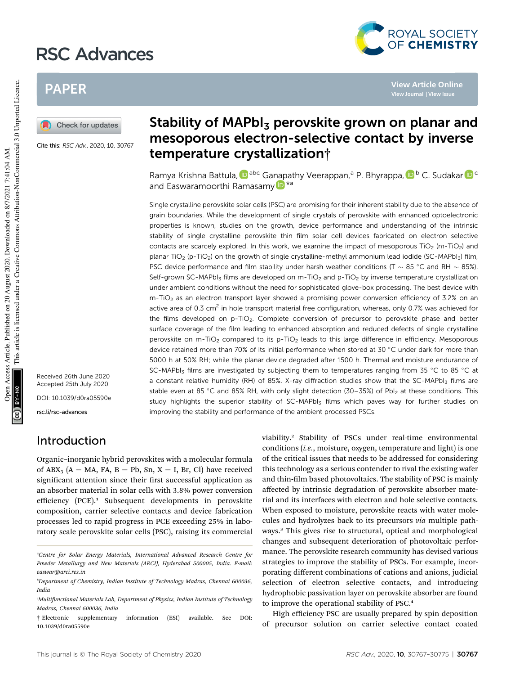# RSC Advances



**View Article Online View Journal | View Issue**

# PAPER

Check for updates

Cite this: RSC Adv., 2020, 10, 30767

# Stability of  $MAPbl<sub>3</sub>$  perovskite grown on planar and mesoporous electron-selective contact by inverse temperature crystallization†

Ramya Krishna Battula, D<sup>abc</sup> Ganapathy Veerappan,<sup>a</sup> P. Bhyrappa, D<sup>b</sup> C. Sudakar D<sup>e</sup> and Easwaramoorthi Ramasamy D<sup>\*a</sup>

Single crystalline perovskite solar cells (PSC) are promising for their inherent stability due to the absence of grain boundaries. While the development of single crystals of perovskite with enhanced optoelectronic properties is known, studies on the growth, device performance and understanding of the intrinsic stability of single crystalline perovskite thin film solar cell devices fabricated on electron selective contacts are scarcely explored. In this work, we examine the impact of mesoporous TiO<sub>2</sub> (m-TiO<sub>2</sub>) and planar TiO<sub>2</sub> (p-TiO<sub>2</sub>) on the growth of single crystalline-methyl ammonium lead iodide (SC-MAPbI<sub>3</sub>) film, PSC device performance and film stability under harsh weather conditions (T  $\sim$  85 °C and RH  $\sim$  85%). Self-grown SC-MAPbI<sub>3</sub> films are developed on m-TiO<sub>2</sub> and p-TiO<sub>2</sub> by inverse temperature crystallization under ambient conditions without the need for sophisticated glove-box processing. The best device with  $m$ -TiO<sub>2</sub> as an electron transport layer showed a promising power conversion efficiency of 3.2% on an active area of 0.3 cm<sup>2</sup> in hole transport material free configuration, whereas, only 0.7% was achieved for the films developed on p-TiO<sub>2</sub>. Complete conversion of precursor to perovskite phase and better surface coverage of the film leading to enhanced absorption and reduced defects of single crystalline perovskite on m-TiO<sub>2</sub> compared to its p-TiO<sub>2</sub> leads to this large difference in efficiency. Mesoporous device retained more than 70% of its initial performance when stored at 30 °C under dark for more than 5000 h at 50% RH; while the planar device degraded after 1500 h. Thermal and moisture endurance of SC-MAPbI<sub>3</sub> films are investigated by subjecting them to temperatures ranging from 35 °C to 85 °C at a constant relative humidity (RH) of 85%. X-ray diffraction studies show that the SC-MAPbI<sub>3</sub> films are stable even at 85 °C and 85% RH, with only slight detection (30-35%) of PbI<sub>2</sub> at these conditions. This study highlights the superior stability of SC-MAPbI<sub>3</sub> films which paves way for further studies on improving the stability and performance of the ambient processed PSCs.

Received 26th June 2020 Accepted 25th July 2020 DOI: 10.1039/d0ra05590e

rsc.li/rsc-advances

## Introduction

Organic–inorganic hybrid perovskites with a molecular formula of ABX<sub>3</sub> (A = MA, FA, B = Pb, Sn, X = I, Br, Cl) have received significant attention since their first successful application as an absorber material in solar cells with 3.8% power conversion efficiency (PCE).<sup>1</sup> Subsequent developments in perovskite composition, carrier selective contacts and device fabrication processes led to rapid progress in PCE exceeding 25% in laboratory scale perovskite solar cells (PSC), raising its commercial

viability.<sup>2</sup> Stability of PSCs under real-time environmental conditions (*i.e.*, moisture, oxygen, temperature and light) is one of the critical issues that needs to be addressed for considering this technology as a serious contender to rival the existing wafer and thin-film based photovoltaics. The stability of PSC is mainly affected by intrinsic degradation of perovskite absorber material and its interfaces with electron and hole selective contacts. When exposed to moisture, perovskite reacts with water molecules and hydrolyzes back to its precursors *via* multiple pathways.<sup>3</sup> This gives rise to structural, optical and morphological changes and subsequent deterioration of photovoltaic performance. The perovskite research community has devised various strategies to improve the stability of PSCs. For example, incorporating different combinations of cations and anions, judicial selection of electron selective contacts, and introducing hydrophobic passivation layer on perovskite absorber are found to improve the operational stability of PSC.<sup>4</sup>

High efficiency PSC are usually prepared by spin deposition of precursor solution on carrier selective contact coated

*<sup>a</sup>Centre for Solar Energy Materials, International Advanced Research Centre for Powder Metallurgy and New Materials (ARCI), Hyderabad 500005, India. E-mail: easwar@arci.res.in*

*<sup>b</sup>Department of Chemistry, Indian Institute of Technology Madras, Chennai 600036, India*

*<sup>c</sup>Multifunctional Materials Lab, Department of Physics, Indian Institute of Technology Madras, Chennai 600036, India*

<sup>†</sup> Electronic supplementary information (ESI) available. See DOI: 10.1039/d0ra05590e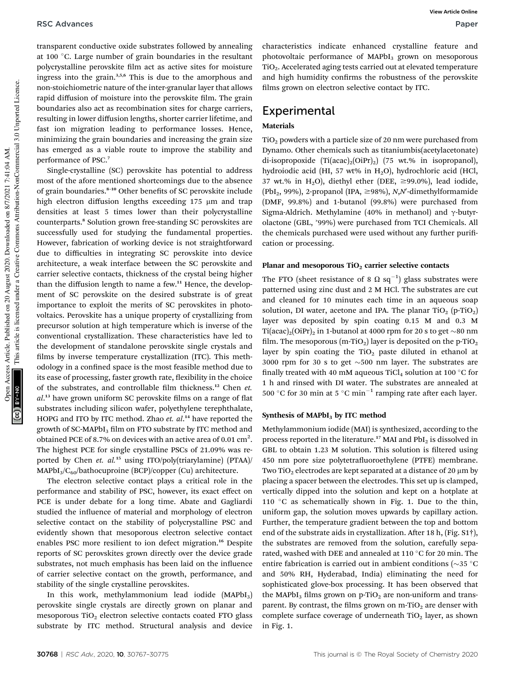transparent conductive oxide substrates followed by annealing at 100 C. Large number of grain boundaries in the resultant polycrystalline perovskite film act as active sites for moisture ingress into the grain.3,5,6 This is due to the amorphous and non-stoichiometric nature of the inter-granular layer that allows rapid diffusion of moisture into the perovskite film. The grain boundaries also act as recombination sites for charge carriers, resulting in lower diffusion lengths, shorter carrier lifetime, and fast ion migration leading to performance losses. Hence, minimizing the grain boundaries and increasing the grain size has emerged as a viable route to improve the stability and performance of PSC.<sup>7</sup>

Single-crystalline (SC) perovskite has potential to address most of the afore mentioned shortcomings due to the absence of grain boundaries.<sup>8-10</sup> Other benefits of SC perovskite include high electron diffusion lengths exceeding  $175 \mu m$  and trap densities at least 5 times lower than their polycrystalline counterparts.<sup>8</sup> Solution grown free-standing SC perovskites are successfully used for studying the fundamental properties. However, fabrication of working device is not straightforward due to difficulties in integrating SC perovskite into device architecture, a weak interface between the SC perovskite and carrier selective contacts, thickness of the crystal being higher than the diffusion length to name a few.<sup>11</sup> Hence, the development of SC perovskite on the desired substrate is of great importance to exploit the merits of SC perovskites in photovoltaics. Perovskite has a unique property of crystallizing from precursor solution at high temperature which is inverse of the conventional crystallization. These characteristics have led to the development of standalone perovskite single crystals and films by inverse temperature crystallization (ITC). This methodology in a confined space is the most feasible method due to its ease of processing, faster growth rate, flexibility in the choice of the substrates, and controllable film thickness.<sup>12</sup> Chen et. al.<sup>13</sup> have grown uniform SC perovskite films on a range of flat substrates including silicon wafer, polyethylene terephthalate, HOPG and ITO by ITC method. Zhao *et. al*. <sup>14</sup> have reported the growth of SC-MAPbI<sub>3</sub> film on FTO substrate by ITC method and obtained PCE of 8.7% on devices with an active area of 0.01  $\mathrm{cm}^2$ . The highest PCE for single crystalline PSCs of 21.09% was reported by Chen *et. al.*<sup>15</sup> using ITO/poly(triarylamine) (PTAA)/  $MAPbI<sub>3</sub>/C<sub>60</sub>/bathocuproine (BCP)/copper (Cu) architecture.$ 

The electron selective contact plays a critical role in the performance and stability of PSC, however, its exact effect on PCE is under debate for a long time. Abate and Gagliardi studied the influence of material and morphology of electron selective contact on the stability of polycrystalline PSC and evidently shown that mesoporous electron selective contact enables PSC more resilient to ion defect migration.<sup>16</sup> Despite reports of SC perovskites grown directly over the device grade substrates, not much emphasis has been laid on the influence of carrier selective contact on the growth, performance, and stability of the single crystalline perovskites.

In this work, methylammonium lead iodide (MAPbI<sub>3</sub>) perovskite single crystals are directly grown on planar and mesoporous TiO<sub>2</sub> electron selective contacts coated FTO glass substrate by ITC method. Structural analysis and device characteristics indicate enhanced crystalline feature and photovoltaic performance of MAPbI<sub>3</sub> grown on mesoporous TiO2. Accelerated aging tests carried out at elevated temperature and high humidity confirms the robustness of the perovskite films grown on electron selective contact by ITC.

## **Experimental**

### Materials

 $TiO<sub>2</sub>$  powders with a particle size of 20 nm were purchased from Dynamo. Other chemicals such as titaniumbis(acetylacetonate) di-isopropoxide  $(Ti(acac)<sub>2</sub>(OiPr)<sub>2</sub>)$  (75 wt.% in isopropanol), hydroiodic acid (HI, 57 wt% in  $H_2O$ ), hydrochloric acid (HCl, 37 wt.% in H<sub>2</sub>O), diethyl ether (DEE,  $\geq$ 99.0%), lead iodide, (PbI<sub>2</sub>, 99%), 2-propanol (IPA, ≥98%), *N,N*'-dimethylformamide (DMF, 99.8%) and 1-butanol (99.8%) were purchased from Sigma-Aldrich. Methylamine (40% in methanol) and  $\gamma$ -butyrolactone (GBL, ˃99%) were purchased from TCI Chemicals. All the chemicals purchased were used without any further purification or processing.

#### Planar and mesoporous  $TiO<sub>2</sub>$  carrier selective contacts

The FTO (sheet resistance of 8  $\Omega$  sq<sup>-1</sup>) glass substrates were patterned using zinc dust and 2 M HCl. The substrates are cut and cleaned for 10 minutes each time in an aqueous soap solution, DI water, acetone and IPA. The planar  $TiO<sub>2</sub>$  (p-TiO<sub>2</sub>) layer was deposited by spin coating 0.15 M and 0.3 M Ti(acac)<sub>2</sub>(OiPr)<sub>2</sub> in 1-butanol at 4000 rpm for 20 s to get  $\sim$ 80 nm film. The mesoporous (m-TiO<sub>2</sub>) layer is deposited on the p-TiO<sub>2</sub> layer by spin coating the  $TiO<sub>2</sub>$  paste diluted in ethanol at 3000 rpm for 30 s to get  $\sim$ 500 nm layer. The substrates are finally treated with 40 mM aqueous  $\text{TiCl}_4$  solution at 100 °C for 1 h and rinsed with DI water. The substrates are annealed at 500 °C for 30 min at 5 °C min<sup>-1</sup> ramping rate after each layer.

#### Synthesis of  $MAPbI<sub>3</sub>$  by ITC method

Methylammonium iodide (MAI) is synthesized, according to the process reported in the literature.<sup>17</sup> MAI and  $PbI<sub>2</sub>$  is dissolved in GBL to obtain 1.23 M solution. This solution is filtered using 450 nm pore size polytetrafluoroethylene (PTFE) membrane. Two TiO<sub>2</sub> electrodes are kept separated at a distance of 20  $\mu$ m by placing a spacer between the electrodes. This set up is clamped, vertically dipped into the solution and kept on a hotplate at 110  $\degree$ C as schematically shown in Fig. 1. Due to the thin, uniform gap, the solution moves upwards by capillary action. Further, the temperature gradient between the top and bottom end of the substrate aids in crystallization. After 18 h, (Fig.  $S1\dagger$ ), the substrates are removed from the solution, carefully separated, washed with DEE and annealed at 110  $^{\circ}$ C for 20 min. The entire fabrication is carried out in ambient conditions ( $\sim$ 35 °C and 50% RH, Hyderabad, India) eliminating the need for sophisticated glove-box processing. It has been observed that the MAPbI<sub>3</sub> films grown on p-TiO<sub>2</sub> are non-uniform and transparent. By contrast, the films grown on m-TiO<sub>2</sub> are denser with complete surface coverage of underneath  $TiO<sub>2</sub>$  layer, as shown in Fig. 1.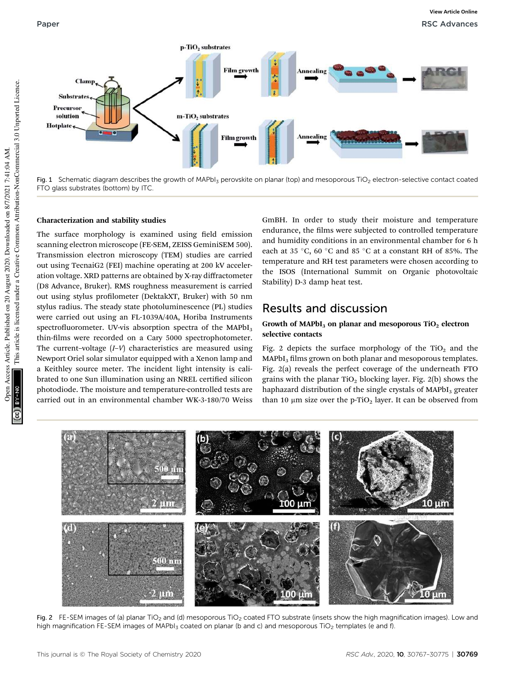

Fig. 1 Schematic diagram describes the growth of MAPbI<sub>3</sub> perovskite on planar (top) and mesoporous TiO<sub>2</sub> electron-selective contact coated FTO glass substrates (bottom) by ITC.

#### Characterization and stability studies

The surface morphology is examined using field emission scanning electron microscope (FE-SEM, ZEISS GeminiSEM 500). Transmission electron microscopy (TEM) studies are carried out using TecnaiG2 (FEI) machine operating at 200 kV acceleration voltage. XRD patterns are obtained by X-ray diffractometer (D8 Advance, Bruker). RMS roughness measurement is carried out using stylus profilometer (DektakXT, Bruker) with 50 nm stylus radius. The steady state photoluminescence (PL) studies were carried out using an FL-1039A/40A, Horiba Instruments spectrofluorometer. UV-vis absorption spectra of the  $MAPbI<sub>3</sub>$ thin-films were recorded on a Cary 5000 spectrophotometer. The current–voltage (*I*–*V*) characteristics are measured using Newport Oriel solar simulator equipped with a Xenon lamp and a Keithley source meter. The incident light intensity is calibrated to one Sun illumination using an NREL certified silicon photodiode. The moisture and temperature-controlled tests are carried out in an environmental chamber WK-3-180/70 Weiss

GmBH. In order to study their moisture and temperature endurance, the films were subjected to controlled temperature and humidity conditions in an environmental chamber for 6 h each at 35 °C, 60 °C and 85 °C at a constant RH of 85%. The temperature and RH test parameters were chosen according to the ISOS (International Summit on Organic photovoltaic Stability) D-3 damp heat test.

## Results and discussion

#### Growth of MAPbI<sub>3</sub> on planar and mesoporous  $TiO<sub>2</sub>$  electron selective contacts

Fig. 2 depicts the surface morphology of the  $TiO<sub>2</sub>$  and the MAPbI<sub>3</sub> films grown on both planar and mesoporous templates. Fig. 2(a) reveals the perfect coverage of the underneath FTO grains with the planar  $TiO<sub>2</sub>$  blocking layer. Fig. 2(b) shows the haphazard distribution of the single crystals of  $MAPbI<sub>3</sub>$  greater than 10  $\mu$ m size over the p-TiO<sub>2</sub> layer. It can be observed from



Fig. 2 FE-SEM images of (a) planar TiO<sub>2</sub> and (d) mesoporous TiO<sub>2</sub> coated FTO substrate (insets show the high magnification images). Low and high magnification FE-SEM images of MAPbI<sub>3</sub> coated on planar (b and c) and mesoporous TiO<sub>2</sub> templates (e and f).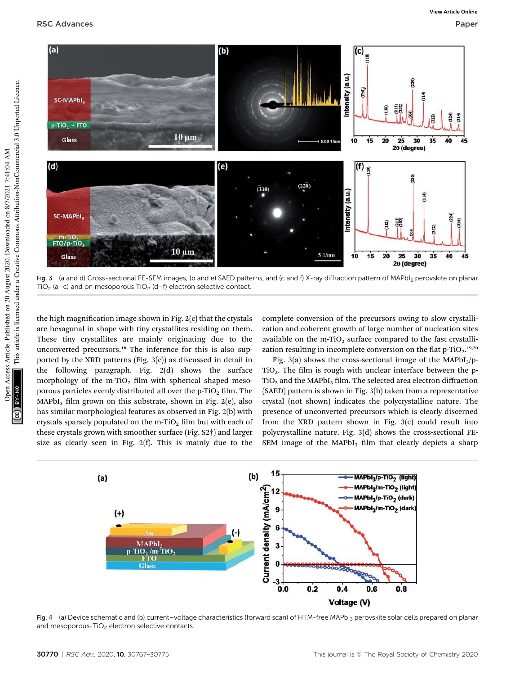

Fig. 3 (a and d) Cross-sectional FE-SEM images, (b and e) SAED patterns, and (c and f) X-ray diffraction pattern of MAPbI<sub>3</sub> perovskite on planar TiO<sub>2</sub> (a–c) and on mesoporous TiO<sub>2</sub> (d–f) electron selective contact.

the high magnification image shown in Fig.  $2(c)$  that the crystals are hexagonal in shape with tiny crystallites residing on them. These tiny crystallites are mainly originating due to the unconverted precursors.<sup>18</sup> The inference for this is also supported by the XRD patterns (Fig. 3(c)) as discussed in detail in the following paragraph. Fig. 2(d) shows the surface morphology of the m-TiO<sub>2</sub> film with spherical shaped mesoporous particles evenly distributed all over the  $p-TiO<sub>2</sub>$  film. The MAPbI<sub>3</sub> film grown on this substrate, shown in Fig. 2(e), also has similar morphological features as observed in Fig. 2(b) with crystals sparsely populated on the m-TiO<sub>2</sub> film but with each of these crystals grown with smoother surface (Fig. S2†) and larger size as clearly seen in Fig. 2(f). This is mainly due to the

complete conversion of the precursors owing to slow crystallization and coherent growth of large number of nucleation sites available on the m-TiO<sub>2</sub> surface compared to the fast crystallization resulting in incomplete conversion on the flat p-TiO<sub>2</sub>.<sup>19,20</sup>

Fig. 3(a) shows the cross-sectional image of the  $MAPbI<sub>3</sub>/p TiO<sub>2</sub>$ . The film is rough with unclear interface between the p- $TiO<sub>2</sub>$  and the MAPbI<sub>3</sub> film. The selected area electron diffraction (SAED) pattern is shown in Fig. 3(b) taken from a representative crystal (not shown) indicates the polycrystalline nature. The presence of unconverted precursors which is clearly discerned from the XRD pattern shown in Fig. 3(c) could result into polycrystalline nature. Fig. 3(d) shows the cross-sectional FE-SEM image of the MAPbI<sub>3</sub> film that clearly depicts a sharp



Fig. 4 (a) Device schematic and (b) current–voltage characteristics (forward scan) of HTM-free MAPbI<sub>3</sub> perovskite solar cells prepared on planar and mesoporous- $TiO<sub>2</sub>$  electron selective contacts.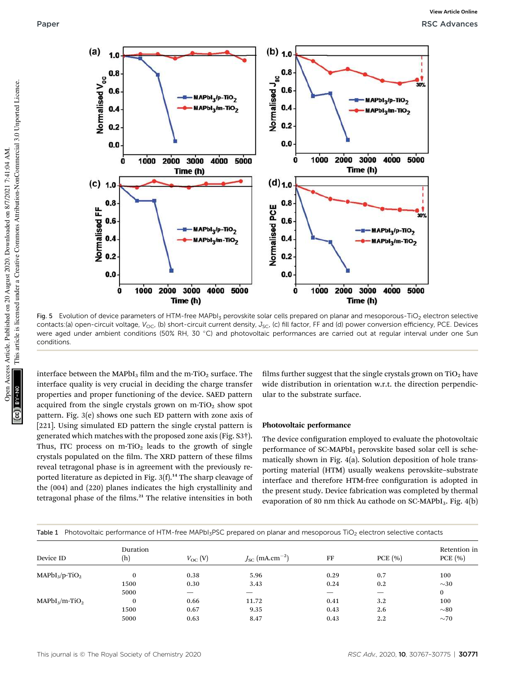

Fig. 5 Evolution of device parameters of HTM-free MAPbI<sub>3</sub> perovskite solar cells prepared on planar and mesoporous-TiO<sub>2</sub> electron selective contacts:(a) open-circuit voltage,  $V_{\text{OC}}$ , (b) short-circuit current density,  $J_{\text{SC}}$ , (c) fill factor, FF and (d) power conversion efficiency, PCE. Devices were aged under ambient conditions (50% RH, 30 °C) and photovoltaic performances are carried out at regular interval under one Sun conditions.

interface between the MAPbI<sub>3</sub> film and the m-TiO<sub>2</sub> surface. The interface quality is very crucial in deciding the charge transfer properties and proper functioning of the device. SAED pattern acquired from the single crystals grown on  $m$ -TiO<sub>2</sub> show spot pattern. Fig. 3(e) shows one such ED pattern with zone axis of [221]. Using simulated ED pattern the single crystal pattern is generated which matches with the proposed zone axis (Fig. S3†). Thus, ITC process on m-TiO<sub>2</sub> leads to the growth of single crystals populated on the film. The XRD pattern of these films reveal tetragonal phase is in agreement with the previously reported literature as depicted in Fig.  $3(f)$ .<sup>14</sup> The sharp cleavage of the (004) and (220) planes indicates the high crystallinity and tetragonal phase of the films.<sup>21</sup> The relative intensities in both

films further suggest that the single crystals grown on  $TiO<sub>2</sub>$  have wide distribution in orientation w.r.t. the direction perpendicular to the substrate surface.

#### Photovoltaic performance

The device configuration employed to evaluate the photovoltaic performance of  $SC-MAPbI<sub>3</sub>$  perovskite based solar cell is schematically shown in Fig. 4(a). Solution deposition of hole transporting material (HTM) usually weakens perovskite–substrate interface and therefore HTM-free configuration is adopted in the present study. Device fabrication was completed by thermal evaporation of 80 nm thick Au cathode on SC-MAPbI<sub>3</sub>. Fig.  $4(b)$ 

|  | Table 1 Photovoltaic performance of HTM-free MAPbl <sub>3</sub> PSC prepared on planar and mesoporous TiO <sub>2</sub> electron selective contacts |  |  |  |  |
|--|----------------------------------------------------------------------------------------------------------------------------------------------------|--|--|--|--|
|--|----------------------------------------------------------------------------------------------------------------------------------------------------|--|--|--|--|

| Device ID         | Duration<br>(h) | $V_{\rm OC}$ (V)  | $J_{\rm SC}$ (mA.cm <sup>-2</sup> ) | FF   | PCE $(\% )$       | Retention in<br>PCE(%) |
|-------------------|-----------------|-------------------|-------------------------------------|------|-------------------|------------------------|
|                   |                 |                   |                                     |      |                   |                        |
| $MAPbI_3/p-TiO_2$ | $\bf{0}$        | 0.38              | 5.96                                | 0.29 | 0.7               | 100                    |
|                   | 1500            | 0.30              | 3.43                                | 0.24 | 0.2               | $\sim$ 30              |
|                   | 5000            | $\hspace{0.05cm}$ | $\hspace{0.1mm}-\hspace{0.1mm}$     |      | $\hspace{0.05cm}$ | $\bf{0}$               |
| $MAPbI_3/m-TiO_2$ | $\mathbf{0}$    | 0.66              | 11.72                               | 0.41 | 3.2               | 100                    |
|                   | 1500            | 0.67              | 9.35                                | 0.43 | 2.6               | $\sim\!\!80$           |
|                   | 5000            | 0.63              | 8.47                                | 0.43 | 2.2               | $\sim$ 70              |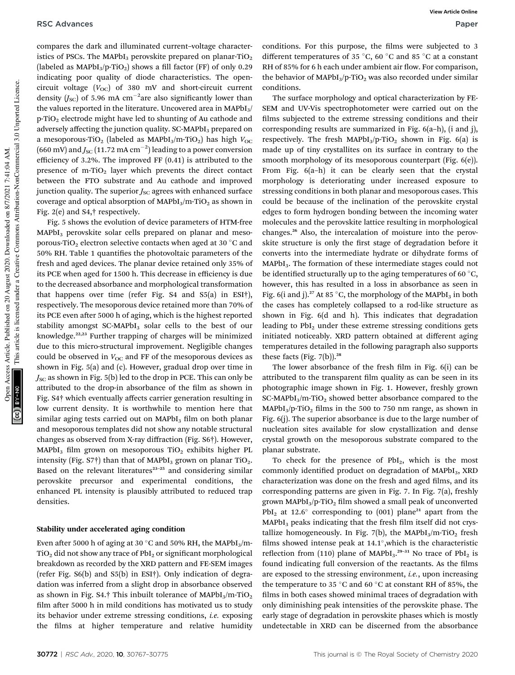**View Article Online**

compares the dark and illuminated current–voltage characteristics of PSCs. The MAPbI<sub>3</sub> perovskite prepared on planar-TiO<sub>2</sub> (labeled as  $MAPbI_3/p-TiO_2$ ) shows a fill factor (FF) of only 0.29 indicating poor quality of diode characteristics. The opencircuit voltage  $(V_{OC})$  of 380 mV and short-circuit current density  $(J_{\text{SC}})$  of 5.96 mA cm<sup>-2</sup>are also significantly lower than the values reported in the literature. Uncovered area in  $MAPbI<sub>3</sub>/$  $p-TiO<sub>2</sub>$  electrode might have led to shunting of Au cathode and adversely affecting the junction quality. SC-MAPbI<sub>3</sub> prepared on a mesoporous-TiO<sub>2</sub> (labeled as MAPbI<sub>3</sub>/m-TiO<sub>2</sub>) has high  $V_{OC}$ (660 mV) and  $J_{\rm SC}$  (11.72 mA cm<sup>-2</sup>) leading to a power conversion efficiency of 3.2%. The improved FF (0.41) is attributed to the presence of m- $TiO<sub>2</sub>$  layer which prevents the direct contact between the FTO substrate and Au cathode and improved junction quality. The superior  $J_{SC}$  agrees with enhanced surface coverage and optical absorption of  $MAPbI_3/m-TiO_2$  as shown in Fig. 2(e) and S4,† respectively.

Fig. 5 shows the evolution of device parameters of HTM-free  $MAPbI<sub>3</sub>$  perovskite solar cells prepared on planar and mesoporous-TiO<sub>2</sub> electron selective contacts when aged at 30  $^{\circ}$ C and 50% RH. Table 1 quantifies the photovoltaic parameters of the fresh and aged devices. The planar device retained only 35% of its PCE when aged for 1500 h. This decrease in efficiency is due to the decreased absorbance and morphological transformation that happens over time (refer Fig. S4 and S5(a) in ESI†), respectively. The mesoporous device retained more than 70% of its PCE even after 5000 h of aging, which is the highest reported stability amongst SC-MAPbI<sub>3</sub> solar cells to the best of our knowledge.22,23 Further trapping of charges will be minimized due to this micro-structural improvement. Negligible changes could be observed in  $V_{\text{OC}}$  and FF of the mesoporous devices as shown in Fig. 5(a) and (c). However, gradual drop over time in  $J_{\rm SC}$  as shown in Fig. 5(b) led to the drop in PCE. This can only be attributed to the drop-in absorbance of the film as shown in Fig. S4† which eventually affects carrier generation resulting in low current density. It is worthwhile to mention here that similar aging tests carried out on  $MAPbI<sub>3</sub>$  film on both planar and mesoporous templates did not show any notable structural changes as observed from X-ray diffraction (Fig. S6†). However,  $MAPbI<sub>3</sub>$  film grown on mesoporous TiO<sub>2</sub> exhibits higher PL intensity (Fig.  $57\dagger$ ) than that of MAPbI<sub>3</sub> grown on planar TiO<sub>2</sub>. Based on the relevant literatures $23-25$  and considering similar perovskite precursor and experimental conditions, the enhanced PL intensity is plausibly attributed to reduced trap densities.

#### Stability under accelerated aging condition

Even after 5000 h of aging at 30 °C and 50% RH, the MAPbI<sub>3</sub>/m- $TiO<sub>2</sub>$  did not show any trace of PbI<sub>2</sub> or significant morphological breakdown as recorded by the XRD pattern and FE-SEM images (refer Fig. S6(b) and S5(b) in ESI†). Only indication of degradation was inferred from a slight drop in absorbance observed as shown in Fig. S4.† This inbuilt tolerance of MAPbI<sub>3</sub>/m-TiO<sub>2</sub> film after 5000 h in mild conditions has motivated us to study its behavior under extreme stressing conditions, *i.e.* exposing the films at higher temperature and relative humidity

conditions. For this purpose, the films were subjected to 3 different temperatures of 35 °C, 60 °C and 85 °C at a constant RH of 85% for 6 h each under ambient air flow. For comparison, the behavior of  $MAPbI_3/p-TiO_2$  was also recorded under similar conditions.

The surface morphology and optical characterization by FE-SEM and UV-Vis spectrophotometer were carried out on the films subjected to the extreme stressing conditions and their corresponding results are summarized in Fig. 6(a–h), (i and j), respectively. The fresh MAPbI<sub>3</sub>/p-TiO<sub>2</sub> shown in Fig.  $6(a)$  is made up of tiny crystallites on its surface in contrary to the smooth morphology of its mesoporous counterpart (Fig. 6(e)). From Fig. 6(a–h) it can be clearly seen that the crystal morphology is deteriorating under increased exposure to stressing conditions in both planar and mesoporous cases. This could be because of the inclination of the perovskite crystal edges to form hydrogen bonding between the incoming water molecules and the perovskite lattice resulting in morphological changes.<sup>26</sup> Also, the intercalation of moisture into the perovskite structure is only the first stage of degradation before it converts into the intermediate hydrate or dihydrate forms of  $MAPbI<sub>3</sub>$ . The formation of these intermediate stages could not be identified structurally up to the aging temperatures of 60 $\degree$ C, however, this has resulted in a loss in absorbance as seen in Fig. 6(i and j).<sup>27</sup> At 85 °C, the morphology of the MAPbI<sub>3</sub> in both the cases has completely collapsed to a rod-like structure as shown in Fig. 6(d and h). This indicates that degradation leading to  $PbI<sub>2</sub>$  under these extreme stressing conditions gets initiated noticeably. XRD pattern obtained at different aging temperatures detailed in the following paragraph also supports these facts (Fig.  $7(b)$ ).<sup>28</sup>

The lower absorbance of the fresh film in Fig.  $6(i)$  can be attributed to the transparent film quality as can be seen in its photographic image shown in Fig. 1. However, freshly grown SC-MAP $bI_3/m$ -TiO<sub>2</sub> showed better absorbance compared to the  $MAPbI<sub>3</sub>/p-TiO<sub>2</sub>$  films in the 500 to 750 nm range, as shown in Fig. 6(j). The superior absorbance is due to the large number of nucleation sites available for slow crystallization and dense crystal growth on the mesoporous substrate compared to the planar substrate.

To check for the presence of  $PbI_2$ , which is the most commonly identified product on degradation of MAPbI<sub>3</sub>, XRD characterization was done on the fresh and aged films, and its corresponding patterns are given in Fig. 7. In Fig. 7(a), freshly grown MAPbI<sub>3</sub>/p-TiO<sub>2</sub> film showed a small peak of unconverted  $PbI<sub>2</sub>$  at 12.6° corresponding to (001) plane<sup>21</sup> apart from the  $MAPbI<sub>3</sub>$  peaks indicating that the fresh film itself did not crystallize homogeneously. In Fig. 7(b), the MAPbI<sub>3</sub>/m-TiO<sub>2</sub> fresh films showed intense peak at 14.1°, which is the characteristic reflection from (110) plane of  $MAPbI<sub>3</sub><sup>29-31</sup>$  No trace of  $PbI<sub>2</sub>$  is found indicating full conversion of the reactants. As the films are exposed to the stressing environment, *i.e.*, upon increasing the temperature to 35  $\degree$ C and 60  $\degree$ C at constant RH of 85%, the films in both cases showed minimal traces of degradation with only diminishing peak intensities of the perovskite phase. The early stage of degradation in perovskite phases which is mostly undetectable in XRD can be discerned from the absorbance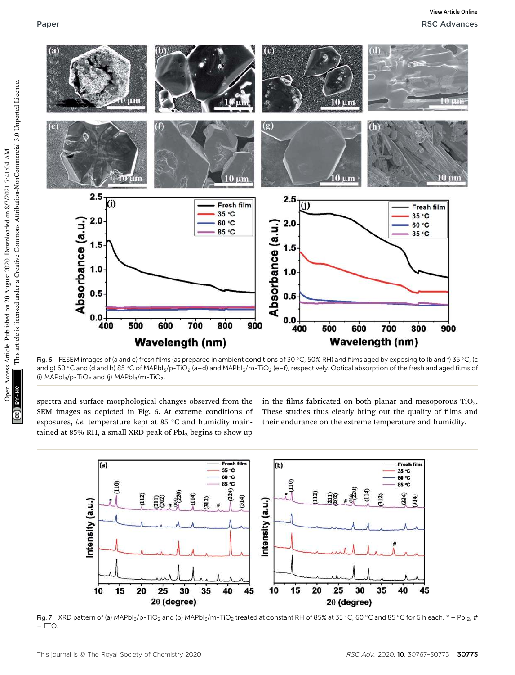

Fig. 6 FESEM images of (a and e) fresh films (as prepared in ambient conditions of 30 °C, 50% RH) and films aged by exposing to (b and f) 35 °C, (c and g) 60 °C and (d and h) 85 °C of MAPbI<sub>3</sub>/p-TiO<sub>2</sub> (a–d) and MAPbI<sub>3</sub>/m-TiO<sub>2</sub> (e–f), respectively. Optical absorption of the fresh and aged films of (i)  $MAPbI_3/p-TiO_2$  and (j)  $MAPbI_3/m-TiO_2$ .

spectra and surface morphological changes observed from the SEM images as depicted in Fig. 6. At extreme conditions of exposures, *i.e.* temperature kept at 85 °C and humidity maintained at 85% RH, a small XRD peak of  $PbI<sub>2</sub>$  begins to show up

in the films fabricated on both planar and mesoporous  $TiO<sub>2</sub>$ . These studies thus clearly bring out the quality of films and their endurance on the extreme temperature and humidity.



Fig. 7 XRD pattern of (a) MAPbI<sub>3</sub>/p-TiO<sub>2</sub> and (b) MAPbI<sub>3</sub>/m-TiO<sub>2</sub> treated at constant RH of 85% at 35 °C, 60 °C and 85 °C for 6 h each. \* – PbI<sub>2</sub>, # – FTO.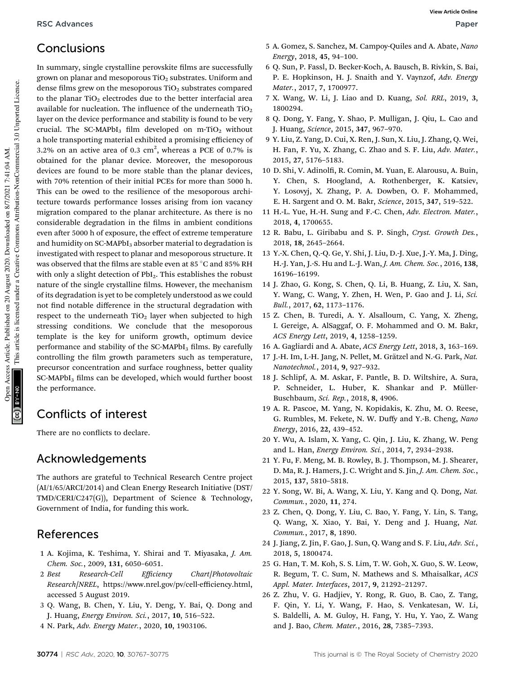# Conclusions

In summary, single crystalline perovskite films are successfully grown on planar and mesoporous  $TiO<sub>2</sub>$  substrates. Uniform and dense films grew on the mesoporous  $TiO<sub>2</sub>$  substrates compared to the planar  $TiO<sub>2</sub>$  electrodes due to the better interfacial area available for nucleation. The influence of the underneath  $TiO<sub>2</sub>$ layer on the device performance and stability is found to be very crucial. The SC-MAPbI<sub>3</sub> film developed on m-TiO<sub>2</sub> without a hole transporting material exhibited a promising efficiency of 3.2% on an active area of 0.3  $\text{cm}^2$ , whereas a PCE of 0.7% is obtained for the planar device. Moreover, the mesoporous devices are found to be more stable than the planar devices, with 70% retention of their initial PCEs for more than 5000 h. This can be owed to the resilience of the mesoporous architecture towards performance losses arising from ion vacancy migration compared to the planar architecture. As there is no considerable degradation in the films in ambient conditions even after 5000 h of exposure, the effect of extreme temperature and humidity on SC-MAPbI<sub>3</sub> absorber material to degradation is investigated with respect to planar and mesoporous structure. It was observed that the films are stable even at 85  $^{\circ}$ C and 85% RH with only a slight detection of  $PbI<sub>2</sub>$ . This establishes the robust nature of the single crystalline films. However, the mechanism of its degradation is yet to be completely understood as we could not find notable difference in the structural degradation with respect to the underneath  $TiO<sub>2</sub>$  layer when subjected to high stressing conditions. We conclude that the mesoporous template is the key for uniform growth, optimum device performance and stability of the SC-MAPbI<sub>3</sub> films. By carefully controlling the film growth parameters such as temperature, precursor concentration and surface roughness, better quality SC-MAPbI<sub>3</sub> films can be developed, which would further boost the performance.

# Conflicts of interest

There are no conflicts to declare.

# Acknowledgements

The authors are grateful to Technical Research Centre project (AI/1/65/ARCI/2014) and Clean Energy Research Initiative (DST/ TMD/CERI/C247(G)), Department of Science & Technology, Government of India, for funding this work.

# References

- 1 A. Kojima, K. Teshima, Y. Shirai and T. Miyasaka, *J. Am. Chem. Soc.*, 2009, 131, 6050–6051.
- 2 *Best Research-Cell E*ffi*ciency Chart|Photovoltaic Research|NREL*, https://www.nrel.gov/pv/cell-efficiency.html, accessed 5 August 2019.
- 3 Q. Wang, B. Chen, Y. Liu, Y. Deng, Y. Bai, Q. Dong and J. Huang, *Energy Environ. Sci.*, 2017, 10, 516–522.
- 4 N. Park, *Adv. Energy Mater.*, 2020, 10, 1903106.
- 5 A. Gomez, S. Sanchez, M. Campoy-Quiles and A. Abate, *Nano Energy*, 2018, 45, 94–100.
- 6 Q. Sun, P. Fassl, D. Becker-Koch, A. Bausch, B. Rivkin, S. Bai, P. E. Hopkinson, H. J. Snaith and Y. Vaynzof, *Adv. Energy Mater.*, 2017, 7, 1700977.
- 7 X. Wang, W. Li, J. Liao and D. Kuang, *Sol. RRL*, 2019, 3, 1800294.
- 8 Q. Dong, Y. Fang, Y. Shao, P. Mulligan, J. Qiu, L. Cao and J. Huang, *Science*, 2015, 347, 967–970.
- 9 Y. Liu, Z. Yang, D. Cui, X. Ren, J. Sun, X. Liu, J. Zhang, Q. Wei, H. Fan, F. Yu, X. Zhang, C. Zhao and S. F. Liu, *Adv. Mater.*, 2015, 27, 5176–5183.
- 10 D. Shi, V. Adinolfi, R. Comin, M. Yuan, E. Alarousu, A. Buin, Y. Chen, S. Hoogland, A. Rothenberger, K. Katsiev, Y. Losovyj, X. Zhang, P. A. Dowben, O. F. Mohammed, E. H. Sargent and O. M. Bakr, *Science*, 2015, 347, 519–522.
- 11 H.-L. Yue, H.-H. Sung and F.-C. Chen, *Adv. Electron. Mater.*, 2018, 4, 1700655.
- 12 R. Babu, L. Giribabu and S. P. Singh, *Cryst. Growth Des.*, 2018, 18, 2645–2664.
- 13 Y.-X. Chen, Q.-Q. Ge, Y. Shi, J. Liu, D.-J. Xue, J.-Y. Ma, J. Ding, H.-J. Yan, J.-S. Hu and L.-J. Wan, *J. Am. Chem. Soc.*, 2016, 138, 16196–16199.
- 14 J. Zhao, G. Kong, S. Chen, Q. Li, B. Huang, Z. Liu, X. San, Y. Wang, C. Wang, Y. Zhen, H. Wen, P. Gao and J. Li, *Sci. Bull.*, 2017, 62, 1173–1176.
- 15 Z. Chen, B. Turedi, A. Y. Alsalloum, C. Yang, X. Zheng, I. Gereige, A. AlSaggaf, O. F. Mohammed and O. M. Bakr, *ACS Energy Lett*, 2019, 4, 1258–1259.
- 16 A. Gagliardi and A. Abate, *ACS Energy Lett*, 2018, 3, 163–169.
- 17 J.-H. Im, I.-H. Jang, N. Pellet, M. Grätzel and N.-G. Park, Nat. *Nanotechnol.*, 2014, 9, 927–932.
- 18 J. Schlipf, A. M. Askar, F. Pantle, B. D. Wiltshire, A. Sura, P. Schneider, L. Huber, K. Shankar and P. Müller-Buschbaum, *Sci. Rep.*, 2018, 8, 4906.
- 19 A. R. Pascoe, M. Yang, N. Kopidakis, K. Zhu, M. O. Reese, G. Rumbles, M. Fekete, N. W. Duffy and Y.-B. Cheng, *Nano Energy*, 2016, 22, 439–452.
- 20 Y. Wu, A. Islam, X. Yang, C. Qin, J. Liu, K. Zhang, W. Peng and L. Han, *Energy Environ. Sci.*, 2014, 7, 2934–2938.
- 21 Y. Fu, F. Meng, M. B. Rowley, B. J. Thompson, M. J. Shearer, D. Ma, R. J. Hamers, J. C. Wright and S. Jin, *J. Am. Chem. Soc.*, 2015, 137, 5810–5818.
- 22 Y. Song, W. Bi, A. Wang, X. Liu, Y. Kang and Q. Dong, *Nat. Commun.*, 2020, 11, 274.
- 23 Z. Chen, Q. Dong, Y. Liu, C. Bao, Y. Fang, Y. Lin, S. Tang, Q. Wang, X. Xiao, Y. Bai, Y. Deng and J. Huang, *Nat. Commun.*, 2017, 8, 1890.
- 24 J. Jiang, Z. Jin, F. Gao, J. Sun, Q. Wang and S. F. Liu, *Adv. Sci.*, 2018, 5, 1800474.
- 25 G. Han, T. M. Koh, S. S. Lim, T. W. Goh, X. Guo, S. W. Leow, R. Begum, T. C. Sum, N. Mathews and S. Mhaisalkar, *ACS Appl. Mater. Interfaces*, 2017, 9, 21292–21297.
- 26 Z. Zhu, V. G. Hadjiev, Y. Rong, R. Guo, B. Cao, Z. Tang, F. Qin, Y. Li, Y. Wang, F. Hao, S. Venkatesan, W. Li, S. Baldelli, A. M. Guloy, H. Fang, Y. Hu, Y. Yao, Z. Wang and J. Bao, *Chem. Mater.*, 2016, 28, 7385–7393.